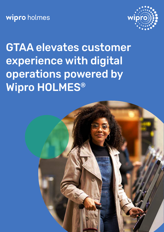wipro holmes



# GTAA elevates customer experience with digital operations powered by Wipro HOLMES®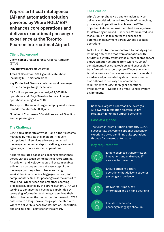**Wipro's artificial intelligence (AI) and automation solution powered by Wipro HOLMES® enhances core operations and delivers exceptional passenger experience at the Toronto Pearson International Airport**

### **Client Background**

**Client name:** Greater Toronto Airports Authority (GTAA)

**Industry type:** Airport Operator

**Areas of Operation:** 180+ global destinations including 60+ American cities

**Key Products & Services:** International passenger traffic, air cargo, freighter service

49.5 million passengers served, 473,000 flight operations and 557,400 metric tonnes of cargo operations managed in 2018.

The airport, the second largest employment zone in Canada, facilitates 50,000 jobs.

**Number of Customers:** 30+ airlines and 49.5 million annual passengers

### **The Challenge**

GTAA had a disparate array of IT and airport systems managed by multiple stakeholders. Frequent disruptions in IT services adversely impacted passenger experience, airport, airline, government agencies, and concessionaire operations.

Airports are rated based on passenger experience across various touch points at the airport terminal. An efficient and well-connected IT system enables efficient airport operations at every step of the passenger journey – from check-ins using kiosks/check-in counters, baggage check-in, and complimentary Wi-Fi for passengers at the airport to retail and F&B services and smoother boarding processes supported by the airline system. GTAA was looking to enhance their business capabilities by leveraging information technology to achieve their vision of becoming the best airport in the world. GTAA entered into a long-term strategic partnership with Wipro to deliver business transformation, innovation, and end-to-end IT services for the airport.

### **The Solution**

Wipro's comprehensive transformation service delivery model addressed key facets of technology, process, and operations to achieve the GTAA objective. Automation was identified as a key driver for delivering improved IT services. Wipro introduced measurable KPIs to monitor the success of automation deployment across various business operations.

Toolsets at GTAA were rationalized by qualifying and retaining only those that were compatible with futuristic, digitally transformed airport operations. AI and Automation solutions from Wipro HOLMES® complemented existing toolsets and successfully transformed the airport system IT operations and terminal services from a manpower-centric model to an advanced, automated system. The new system also adheres to security and compliance requirements of GTAA for higher operational availability of IT systems in a multi-vendor system environment.

Canada's largest airport facility leverages AI-powered automation platform, Wipro HOLMES®, for unified airport operations

### **Case at a glance**

The Greater Toronto Airports Authority (GTAA) successfully delivers exceptional passenger experience by streamlining daily operations through AI-powered automation.

### **Key requirements:**



Enable business transformation, innovation, and end-to-end IT services for the airport



Ensure efficient airport operations that deliver a superior passenger experience



Deliver real-time flight information and on-time boarding



Facilitate seamless passenger/baggage check-in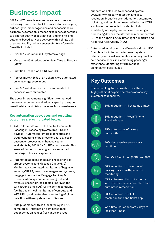## **Business Impact**

GTAA and Wipro achieved remarkable success in delivering round-the-clock IT services to passengers, airlines, government agencies and concessionaire partners. Automation, process excellence, adherence to airport industry best practices, and end-to-end outcome-based services delivery with a single point of accountability led to a successful transformation. Benefits included:

- Over 85% reduction in IT systems outage
- More than 85% reduction in Mean Time to Resolve (MTTR)
- First Call Resolution (FCR) over 90%
- Approximately 25% of all tickets were automated on an average every month
- Over 30% of all infrastructure and related IT concerns were eliminated

The above improvements significantly enhanced passenger experience and added capacity to support growth while maximizing the value from investments.

### **Key automation use-cases and resulting outcomes are as indicated below:**

- 1. Auto-pilot mode with self-heal for Common Use Passenger Processing System (CUPPS) end devices - Automated remote diagnostics and troubleshooting of business critical devices in passenger processing enhanced system availability by 100% for CUPPS crash events. This ensured faster processing and an enhanced passenger check-in experience.
- 2. Automated application health check of critical airport systems and Message Queue (MQ) Monitoring - Automated monitoring of baggage servers, CUPPS, resource management systems, baggage information (Baggage Tracking & Reconciliation system) monitoring reduced revenue loss for airlines. It also improved the turn-around time (TAT) for incident resolutions, facilitating critical monitoring of compute and WEB URLs, and customized monitoring of billing data flow with early detection of issues.
- 3. Auto pilot mode with self-heal for Wyse (POC completed)– Automation eliminated task dependency on vendor (for hands and feet

support) and also led to enhanced system availability with early detection and auto resolution. Proactive event detection, automated ticket log and resolution resulted in better MTTR and lower user reported incidents. High availability of display systems and passenger processing devices facilitated the most important KPI of the airport i.e. On-time flight departure and Airport Service Quality (ASQ).

4. Automated monitoring of self-service kiosks (POC Completed) - Automation improved system reliability and kiosk availability, enabling quicker self-service check-ins, enhancing passenger experience.Monitoring efforts reduced significantly post rollout.

### **Key Outcomes**

The technology transformation resulted in highly efficient airport operations across key customer touchpoints.



85% reduction in IT systems outage



85% reduction in Mean Time to Resolve issues



25% automation of tickets per month



10% decrease in service desk call time



First Call Resolution (FCR) over 90%



50% reduction in downtime of parking devices with proactive monitoring



35% auto resolution of incidents with effective event correlation and automated remediation.



60% reduction in ticket resolution time and ticket hop



Wait time reduction from 2 days to less than 1 hour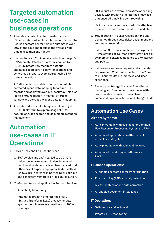### **Targeted automation use-cases in business operations**

- 1. AI-enabled contact center transformation –Voice-enabled AI implementation for the Toronto Pearson contact center helpline automated over 30% of the calls and reduced the average wait time to less than one minute.
- 2. Procure to Pay (P2P) Anomaly Detection Wipro's P2P Anomaly Detection platform, enabled by HOLMES, proactively monitors potential anomalies in procure-to-pay transactions and generates 33 reports every quarter using ERP transactions data.
- 3. AI / ML enabled spend data correction AI / ML corrected spend data mapping for around 650k records and achieved over 80% accuracy. This also led to a 70% reduction in manual efforts to validate and correct the spend category mapping.
- 4. AI-enabled document intelligence –Leveraged HOLMES platform to explore usage of AI for natural language search and documents retention management.

### **Automation use-cases in IT Operations**

- 1. Service Desk and End User Services
	- a. Self-service and self-heal led to a 20-30% reduction in ticket count. It also decreased machine downtime which led to enhanced work efficiency of airport employees. Additionally, it led to a 10% decrease in Service Desk call time and consistently improved first-call resolution.
- 2. IT Infrastructure and Application Support Services
	- a. Availability Monitoring
	- i. Automated proactive monitoring of ETL (Extract, Transform, Load) process for data sync, without human intervention with 100% coverage
- ii. 50% reduction in overall downtime of parking devices with proactive monitoring of devices that ensured timely incident reporting.
- b. 35% of incidents auto resolved with effective event correlation and automated remediation.
- c. 60% reduction in ticket resolution time and ticket hop through auto ticket assignment and automated resolution.
- d. Patch and Software compliance management - Time savings of 1.5-man hours' effort per day by improving patch compliance to 97% across end points.
- e. Self-service software request and automated deployment - Wait time reduction from 2 days to < 1 hour resulted in improved end-user experience.
- f. Backup and Storage Manager Bots- Better planning and forecasting of resources with real-time dashboards of overall health of commvault system solution and storage OEMs.

### **Automation Use Cases**

### **Airport Systems:**

- Auto-pilot mode with self-heal for Common Use Passenger Processing System (CUPPS)
- Automated application health check of critical airport systems
- Auto-pilot mode with self-heal for Wyse
- Automated monitoring of self-service kiosks

#### **Business Operations:**

- AI-enabled contact center transformation
- Procure to Pay (P2P) anomaly detection
- AI / ML enabled spend data correction
- AI-enabled document intelligence

#### **IT Operations:**

- Self-service and self-heal
- Proactive ETL monitoring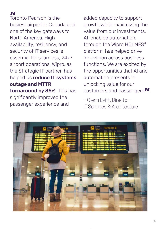Toronto Pearson is the busiest airport in Canada and one of the key gateways to North America. High availability, resiliency, and security of IT services is essential for seamless, 24x7 airport operations. Wipro, as the Strategic IT partner, has helped us reduce IT systems outage and MTTR turnaround by 85%. This has significantly improved the passenger experience and  $\frac{1}{\sqrt{10}}$ 

customers and passengers*"*.<br>- Glenn Evitt, Director added capacity to support growth while maximizing the value from our investments. AI-enabled automation, through the Wipro HOLMES® platform, has helped drive innovation across business functions. We are excited by the opportunities that AI and automation presents in unlocking value for our

– Glenn Evitt, Director - IT Services & Architecture